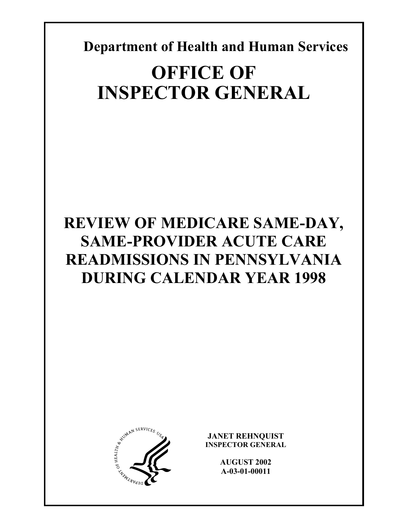**Department of Health and Human Services** 

# **OFFICE OF INSPECTOR GENERAL**

## **REVIEW OF MEDICARE SAME-DAY, SAME-PROVIDER ACUTE CARE READMISSIONS IN PENNSYLVANIA DURING CALENDAR YEAR 1998**



**JANET REHNQUIST INSPECTOR GENERAL** 

> **AUGUST 2002 A-03-01-00011**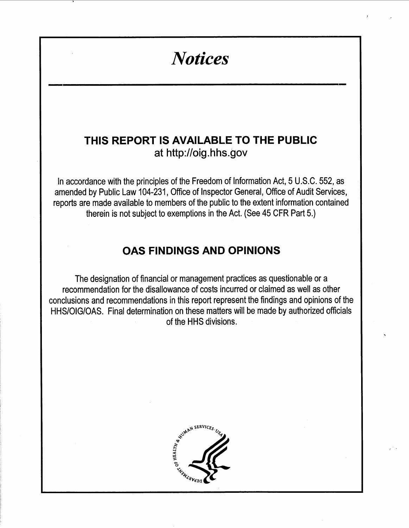## **Notices**

### THIS REPORT IS AVAILABLE TO THE PUBLIC at http://oig.hhs.gov

In accordance with the principles of the Freedom of Information Act, 5 U.S.C. 552, as amended by Public Law 104-231, Office of Inspector General, Office of Audit Services, reports are made available to members of the public to the extent information contained therein is not subject to exemptions in the Act. (See 45 CFR Part 5.)

### **OAS FINDINGS AND OPINIONS**

The designation of financial or management practices as questionable or a recommendation for the disallowance of costs incurred or claimed as well as other conclusions and recommendations in this report represent the findings and opinions of the HHS/OIG/OAS. Final determination on these matters will be made by authorized officials of the HHS divisions.

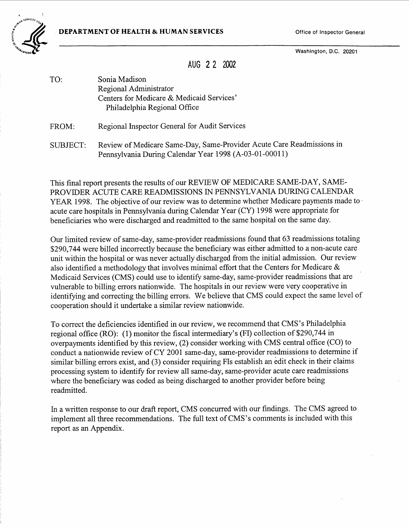**DEPARTMENT OF HEALTH & HUMAN SERVICES** 

Office of Inspector General

Washington, D.C. 20201

AUG 2 2 2002

- TO: Sonia Madison Regional Administrator Centers for Medicare & Medicaid Services' Philadelphia Regional Office
- Regional Inspector General for Audit Services FROM:
- Review of Medicare Same-Day, Same-Provider Acute Care Readmissions in SUBJECT: Pennsylvania During Calendar Year 1998 (A-03-01-00011)

This final report presents the results of our REVIEW OF MEDICARE SAME-DAY, SAME-PROVIDER ACUTE CARE READMISSIONS IN PENNSYLVANIA DURING CALENDAR YEAR 1998. The objective of our review was to determine whether Medicare payments made to acute care hospitals in Pennsylvania during Calendar Year (CY) 1998 were appropriate for beneficiaries who were discharged and readmitted to the same hospital on the same day.

Our limited review of same-day, same-provider readmissions found that 63 readmissions totaling \$290,744 were billed incorrectly because the beneficiary was either admitted to a non-acute care unit within the hospital or was never actually discharged from the initial admission. Our review also identified a methodology that involves minimal effort that the Centers for Medicare  $\&$ Medicaid Services (CMS) could use to identify same-day, same-provider readmissions that are vulnerable to billing errors nationwide. The hospitals in our review were very cooperative in identifying and correcting the billing errors. We believe that CMS could expect the same level of cooperation should it undertake a similar review nationwide.

To correct the deficiencies identified in our review, we recommend that CMS's Philadelphia regional office (RO): (1) monitor the fiscal intermediary's (FI) collection of \$290,744 in overpayments identified by this review, (2) consider working with CMS central office (CO) to conduct a nationwide review of CY 2001 same-day, same-provider readmissions to determine if similar billing errors exist, and (3) consider requiring FIs establish an edit check in their claims processing system to identify for review all same-day, same-provider acute care readmissions where the beneficiary was coded as being discharged to another provider before being readmitted.

In a written response to our draft report, CMS concurred with our findings. The CMS agreed to implement all three recommendations. The full text of CMS's comments is included with this report as an Appendix.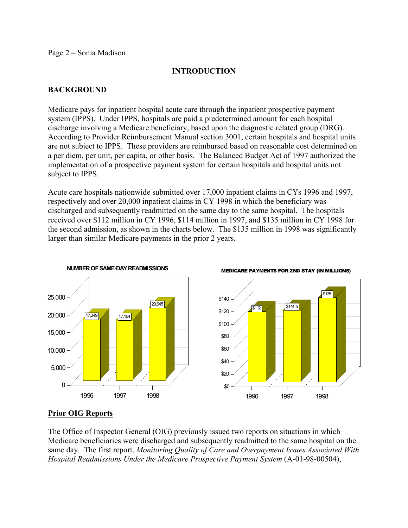#### Page 2 – Sonia Madison

#### **INTRODUCTION**

#### **BACKGROUND**

Medicare pays for inpatient hospital acute care through the inpatient prospective payment system (IPPS). Under IPPS, hospitals are paid a predetermined amount for each hospital discharge involving a Medicare beneficiary, based upon the diagnostic related group (DRG). According to Provider Reimbursement Manual section 3001, certain hospitals and hospital units are not subject to IPPS. These providers are reimbursed based on reasonable cost determined on a per diem, per unit, per capita, or other basis. The Balanced Budget Act of 1997 authorized the implementation of a prospective payment system for certain hospitals and hospital units not subject to IPPS.

Acute care hospitals nationwide submitted over 17,000 inpatient claims in CYs 1996 and 1997, respectively and over 20,000 inpatient claims in CY 1998 in which the beneficiary was discharged and subsequently readmitted on the same day to the same hospital. The hospitals received over \$112 million in CY 1996, \$114 million in 1997, and \$135 million in CY 1998 for the second admission, as shown in the charts below. The \$135 million in 1998 was significantly larger than similar Medicare payments in the prior 2 years.



#### **Prior OIG Reports**

The Office of Inspector General (OIG) previously issued two reports on situations in which Medicare beneficiaries were discharged and subsequently readmitted to the same hospital on the same day. The first report, *Monitoring Quality of Care and Overpayment Issues Associated With Hospital Readmissions Under the Medicare Prospective Payment System (A-01-98-00504),*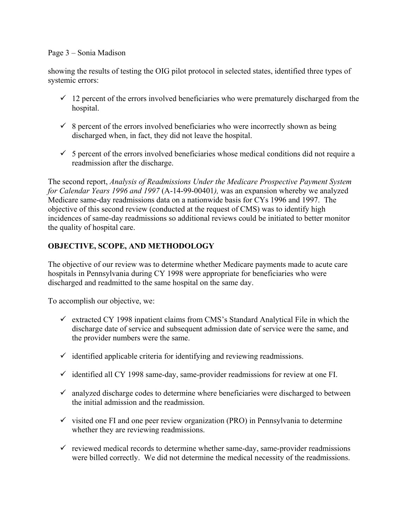#### Page 3 – Sonia Madison

showing the results of testing the OIG pilot protocol in selected states, identified three types of systemic errors:

- $\checkmark$  12 percent of the errors involved beneficiaries who were prematurely discharged from the hospital.
- $\checkmark$  8 percent of the errors involved beneficiaries who were incorrectly shown as being discharged when, in fact, they did not leave the hospital.
- $\checkmark$  5 percent of the errors involved beneficiaries whose medical conditions did not require a readmission after the discharge.

The second report, *Analysis of Readmissions Under the Medicare Prospective Payment System for Calendar Years 1996 and 1997* (A-14-99-00401*),* was an expansion whereby we analyzed Medicare same-day readmissions data on a nationwide basis for CYs 1996 and 1997. The objective of this second review (conducted at the request of CMS) was to identify high incidences of same-day readmissions so additional reviews could be initiated to better monitor the quality of hospital care.

#### **OBJECTIVE, SCOPE, AND METHODOLOGY**

The objective of our review was to determine whether Medicare payments made to acute care hospitals in Pennsylvania during CY 1998 were appropriate for beneficiaries who were discharged and readmitted to the same hospital on the same day.

To accomplish our objective, we:

- $\checkmark$  extracted CY 1998 inpatient claims from CMS's Standard Analytical File in which the discharge date of service and subsequent admission date of service were the same, and the provider numbers were the same.
- $\checkmark$  identified applicable criteria for identifying and reviewing readmissions.
- $\checkmark$  identified all CY 1998 same-day, same-provider readmissions for review at one FI.
- $\checkmark$  analyzed discharge codes to determine where beneficiaries were discharged to between the initial admission and the readmission.
- $\checkmark$  visited one FI and one peer review organization (PRO) in Pennsylvania to determine whether they are reviewing readmissions.
- $\checkmark$  reviewed medical records to determine whether same-day, same-provider readmissions were billed correctly. We did not determine the medical necessity of the readmissions.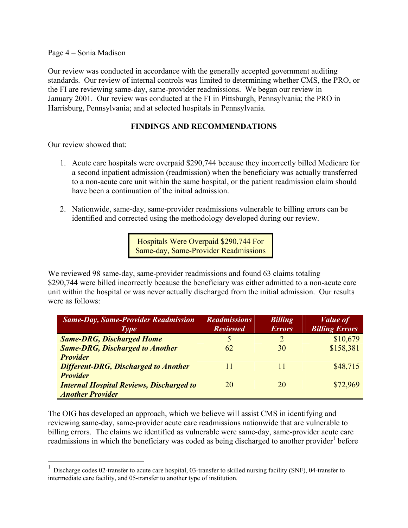Page 4 – Sonia Madison

Our review was conducted in accordance with the generally accepted government auditing standards. Our review of internal controls was limited to determining whether CMS, the PRO, or the FI are reviewing same-day, same-provider readmissions. We began our review in January 2001. Our review was conducted at the FI in Pittsburgh, Pennsylvania; the PRO in Harrisburg, Pennsylvania; and at selected hospitals in Pennsylvania.

#### **FINDINGS AND RECOMMENDATIONS**

Our review showed that:

- 1. Acute care hospitals were overpaid \$290,744 because they incorrectly billed Medicare for a second inpatient admission (readmission) when the beneficiary was actually transferred to a non-acute care unit within the same hospital, or the patient readmission claim should have been a continuation of the initial admission.
- 2. Nationwide, same-day, same-provider readmissions vulnerable to billing errors can be identified and corrected using the methodology developed during our review.

Hospitals Were Overpaid \$290,744 For Same-day, Same-Provider Readmissions

We reviewed 98 same-day, same-provider readmissions and found 63 claims totaling \$290,744 were billed incorrectly because the beneficiary was either admitted to a non-acute care unit within the hospital or was never actually discharged from the initial admission. Our results were as follows:

| <b>Same-Day, Same-Provider Readmission</b>      | <b>Readmissions</b> | <b>Billing</b> | <i>Value of</i>       |
|-------------------------------------------------|---------------------|----------------|-----------------------|
| <b>Type</b>                                     | <b>Reviewed</b>     | <b>Errors</b>  | <b>Billing Errors</b> |
| <b>Same-DRG, Discharged Home</b>                | 5                   | $\mathcal{D}$  | \$10,679              |
| <b>Same-DRG, Discharged to Another</b>          | 62                  | 30             | \$158,381             |
| <b>Provider</b>                                 |                     |                |                       |
| <b>Different-DRG, Discharged to Another</b>     | 11                  |                | \$48,715              |
| <b>Provider</b>                                 |                     |                |                       |
| <b>Internal Hospital Reviews, Discharged to</b> | 20                  | 20             | \$72,969              |
| <b>Another Provider</b>                         |                     |                |                       |

The OIG has developed an approach, which we believe will assist CMS in identifying and reviewing same-day, same-provider acute care readmissions nationwide that are vulnerable to billing errors. The claims we identified as vulnerable were same-day, same-provider acute care readmissions in which the [b](#page-5-0)eneficiary was coded as being discharged to another provider<sup>1</sup> before

<span id="page-5-0"></span><sup>&</sup>lt;sup>1</sup> Discharge codes 02-transfer to acute care hospital, 03-transfer to skilled nursing facility (SNF), 04-transfer to intermediate care facility, and 05-transfer to another type of institution.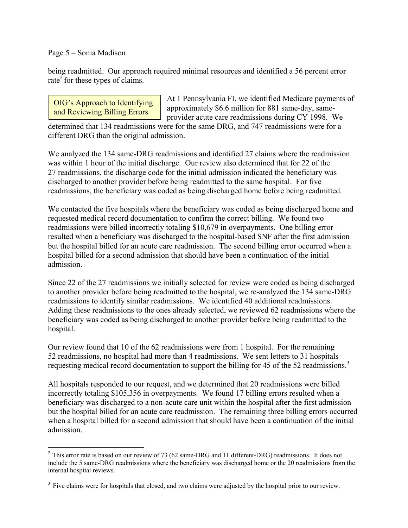#### Page 5 – Sonia Madison

being readmitted. Our approach required minimal resources and identified a 56 percent error rate<sup>2</sup> for these types of claims.

OIG's Approach to Identifying At 1 Pennsylvania FI, we identified Medicare payments of and Reviewing Billing Errors approximately \$6.6 million for 881 same-day, sameprovider acute care readmissions during CY 1998. We

determined that 134 readmissions were for the same DRG, and 747 readmissions were for a different DRG than the original admission.

We analyzed the 134 same-DRG readmissions and identified 27 claims where the readmission was within 1 hour of the initial discharge. Our review also determined that for 22 of the 27 readmissions, the discharge code for the initial admission indicated the beneficiary was discharged to another provider before being readmitted to the same hospital. For five readmissions, the beneficiary was coded as being discharged home before being readmitted.

We contacted the five hospitals where the beneficiary was coded as being discharged home and requested medical record documentation to confirm the correct billing. We found two readmissions were billed incorrectly totaling \$10,679 in overpayments. One billing error resulted when a beneficiary was discharged to the hospital-based SNF after the first admission but the hospital billed for an acute care readmission. The second billing error occurred when a hospital billed for a second admission that should have been a continuation of the initial admission.

Since 22 of the 27 readmissions we initially selected for review were coded as being discharged to another provider before being readmitted to the hospital, we re-analyzed the 134 same-DRG readmissions to identify similar readmissions. We identified 40 additional readmissions. Adding these readmissions to the ones already selected, we reviewed 62 readmissions where the beneficiary was coded as being discharged to another provider before being readmitted to the hospital.

Our review found that 10 of the 62 readmissions were from 1 hospital. For the remaining 52 readmissions, no hospital had more than 4 readmissions. We sent letters to 31 hospitals requesting medical record documentation to support the billing for 45 of the 52 readmissions.<sup>3</sup>

All hospitals responded to our request, and we determined that 20 readmissions were billed incorrectly totaling \$105,356 in overpayments. We found 17 billing errors resulted when a beneficiary was discharged to a non-acute care unit within the hospital after the first admission but the hospital billed for an acute care readmission. The remaining three billing errors occurred when a hospital billed for a second admission that should have been a continuation of the initial admission.

<span id="page-6-0"></span><sup>&</sup>lt;sup>2</sup> This error rate is based on our review of 73 (62 same-DRG and 11 different-DRG) readmissions. It does not include the 5 same-DRG readmissions where the beneficiary was discharged home or the 20 readmissions from the internal hospital reviews.

<span id="page-6-1"></span><sup>&</sup>lt;sup>3</sup> Five claims were for hospitals that closed, and two claims were adjusted by the hospital prior to our review.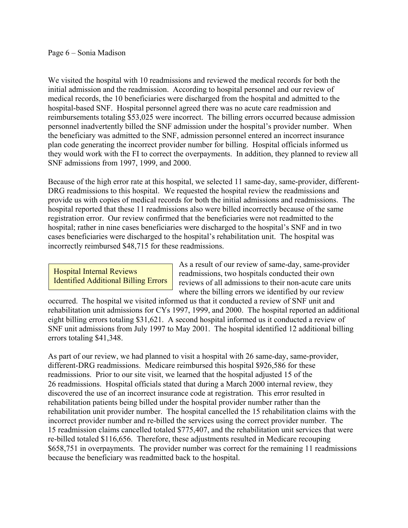#### Page 6 – Sonia Madison

We visited the hospital with 10 readmissions and reviewed the medical records for both the initial admission and the readmission. According to hospital personnel and our review of medical records, the 10 beneficiaries were discharged from the hospital and admitted to the hospital-based SNF. Hospital personnel agreed there was no acute care readmission and reimbursements totaling \$53,025 were incorrect. The billing errors occurred because admission personnel inadvertently billed the SNF admission under the hospital's provider number. When the beneficiary was admitted to the SNF, admission personnel entered an incorrect insurance plan code generating the incorrect provider number for billing. Hospital officials informed us they would work with the FI to correct the overpayments. In addition, they planned to review all SNF admissions from 1997, 1999, and 2000.

Because of the high error rate at this hospital, we selected 11 same-day, same-provider, different-DRG readmissions to this hospital. We requested the hospital review the readmissions and provide us with copies of medical records for both the initial admissions and readmissions. The hospital reported that these 11 readmissions also were billed incorrectly because of the same registration error. Our review confirmed that the beneficiaries were not readmitted to the hospital; rather in nine cases beneficiaries were discharged to the hospital's SNF and in two cases beneficiaries were discharged to the hospital's rehabilitation unit. The hospital was incorrectly reimbursed \$48,715 for these readmissions.

As a result of our review of same-day, same-provider<br> **Hospital Internal Reviews**<br> **Hospital Additional Billing Errors**<br> **Explores** reviews of all admissions to their non-acute care units reviews of all admissions to their non-acute care units where the billing errors we identified by our review

occurred. The hospital we visited informed us that it conducted a review of SNF unit and rehabilitation unit admissions for CYs 1997, 1999, and 2000. The hospital reported an additional eight billing errors totaling \$31,621. A second hospital informed us it conducted a review of SNF unit admissions from July 1997 to May 2001. The hospital identified 12 additional billing errors totaling \$41,348.

As part of our review, we had planned to visit a hospital with 26 same-day, same-provider, different-DRG readmissions. Medicare reimbursed this hospital \$926,586 for these readmissions. Prior to our site visit, we learned that the hospital adjusted 15 of the 26 readmissions. Hospital officials stated that during a March 2000 internal review, they discovered the use of an incorrect insurance code at registration. This error resulted in rehabilitation patients being billed under the hospital provider number rather than the rehabilitation unit provider number. The hospital cancelled the 15 rehabilitation claims with the incorrect provider number and re-billed the services using the correct provider number. The 15 readmission claims cancelled totaled \$775,407, and the rehabilitation unit services that were re-billed totaled \$116,656. Therefore, these adjustments resulted in Medicare recouping \$658,751 in overpayments. The provider number was correct for the remaining 11 readmissions because the beneficiary was readmitted back to the hospital.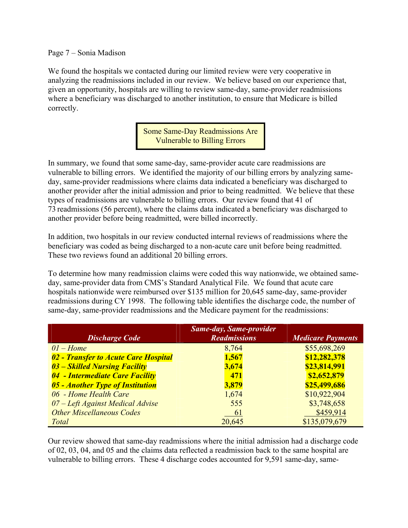#### Page 7 – Sonia Madison

We found the hospitals we contacted during our limited review were very cooperative in analyzing the readmissions included in our review. We believe based on our experience that, given an opportunity, hospitals are willing to review same-day, same-provider readmissions where a beneficiary was discharged to another institution, to ensure that Medicare is billed correctly.

> Some Same-Day Readmissions Are Vulnerable to Billing Errors

In summary, we found that some same-day, same-provider acute care readmissions are vulnerable to billing errors. We identified the majority of our billing errors by analyzing sameday, same-provider readmissions where claims data indicated a beneficiary was discharged to another provider after the initial admission and prior to being readmitted. We believe that these types of readmissions are vulnerable to billing errors. Our review found that 41 of 73 readmissions (56 percent), where the claims data indicated a beneficiary was discharged to another provider before being readmitted, were billed incorrectly.

In addition, two hospitals in our review conducted internal reviews of readmissions where the beneficiary was coded as being discharged to a non-acute care unit before being readmitted. These two reviews found an additional 20 billing errors.

To determine how many readmission claims were coded this way nationwide, we obtained sameday, same-provider data from CMS's Standard Analytical File. We found that acute care hospitals nationwide were reimbursed over \$135 million for 20,645 same-day, same-provider readmissions during CY 1998. The following table identifies the discharge code, the number of same-day, same-provider readmissions and the Medicare payment for the readmissions:

| <b>Discharge Code</b>                | <b>Same-day, Same-provider</b><br><b>Readmissions</b> | <b>Medicare Payments</b> |
|--------------------------------------|-------------------------------------------------------|--------------------------|
| $01 - Home$                          | 8,764                                                 | \$55,698,269             |
| 02 - Transfer to Acute Care Hospital | 1,567                                                 | \$12,282,378             |
| 03 – Skilled Nursing Facility        | 3,674                                                 | \$23,814,991             |
| 04 - Intermediate Care Facility      | 471                                                   | \$2,652,879              |
| 05 - Another Type of Institution     | 3,879                                                 | \$25,499,686             |
| 06 - Home Health Care                | 1,674                                                 | \$10,922,904             |
| 07 – Left Against Medical Advise     | 555                                                   | \$3,748,658              |
| <b>Other Miscellaneous Codes</b>     | 61                                                    | \$459,914                |
| <b>Total</b>                         | 20,645                                                | \$135,079,679            |

Our review showed that same-day readmissions where the initial admission had a discharge code of 02, 03, 04, and 05 and the claims data reflected a readmission back to the same hospital are vulnerable to billing errors. These 4 discharge codes accounted for 9,591 same-day, same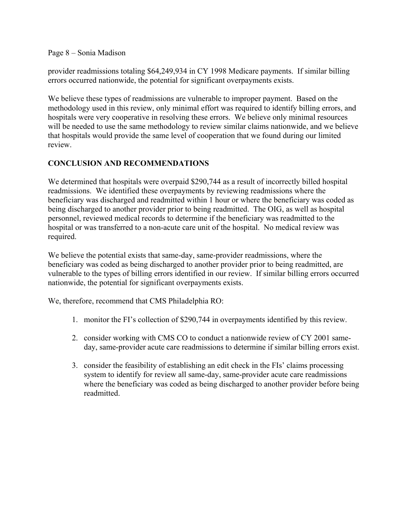Page 8 – Sonia Madison

provider readmissions totaling \$64,249,934 in CY 1998 Medicare payments. If similar billing errors occurred nationwide, the potential for significant overpayments exists.

We believe these types of readmissions are vulnerable to improper payment. Based on the methodology used in this review, only minimal effort was required to identify billing errors, and hospitals were very cooperative in resolving these errors. We believe only minimal resources will be needed to use the same methodology to review similar claims nationwide, and we believe that hospitals would provide the same level of cooperation that we found during our limited review.

#### **CONCLUSION AND RECOMMENDATIONS**

We determined that hospitals were overpaid \$290,744 as a result of incorrectly billed hospital readmissions. We identified these overpayments by reviewing readmissions where the beneficiary was discharged and readmitted within 1 hour or where the beneficiary was coded as being discharged to another provider prior to being readmitted. The OIG, as well as hospital personnel, reviewed medical records to determine if the beneficiary was readmitted to the hospital or was transferred to a non-acute care unit of the hospital. No medical review was required.

We believe the potential exists that same-day, same-provider readmissions, where the beneficiary was coded as being discharged to another provider prior to being readmitted, are vulnerable to the types of billing errors identified in our review. If similar billing errors occurred nationwide, the potential for significant overpayments exists.

We, therefore, recommend that CMS Philadelphia RO:

- 1. monitor the FI's collection of \$290,744 in overpayments identified by this review.
- 2. consider working with CMS CO to conduct a nationwide review of CY 2001 sameday, same-provider acute care readmissions to determine if similar billing errors exist.
- 3. consider the feasibility of establishing an edit check in the FIs' claims processing system to identify for review all same-day, same-provider acute care readmissions where the beneficiary was coded as being discharged to another provider before being readmitted.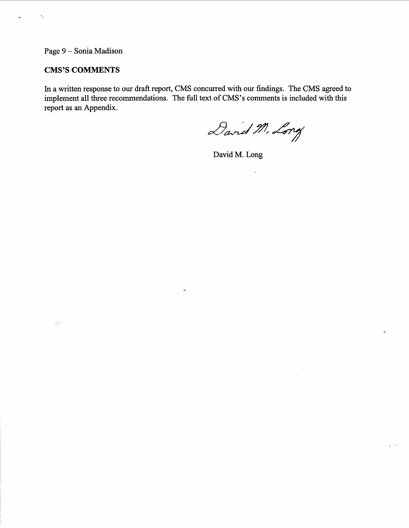Page 9 - Sonia Madison

×,

 $\ddotsc$ 

#### **CMS'S COMMENTS**

ganti nu

In a written response to our draft report, CMS concurred with our findings. The CMS agreed to implement all three recommendations. The full text of CMS's comments is included with this report as an Appendix.

David M. Long

David M. Long